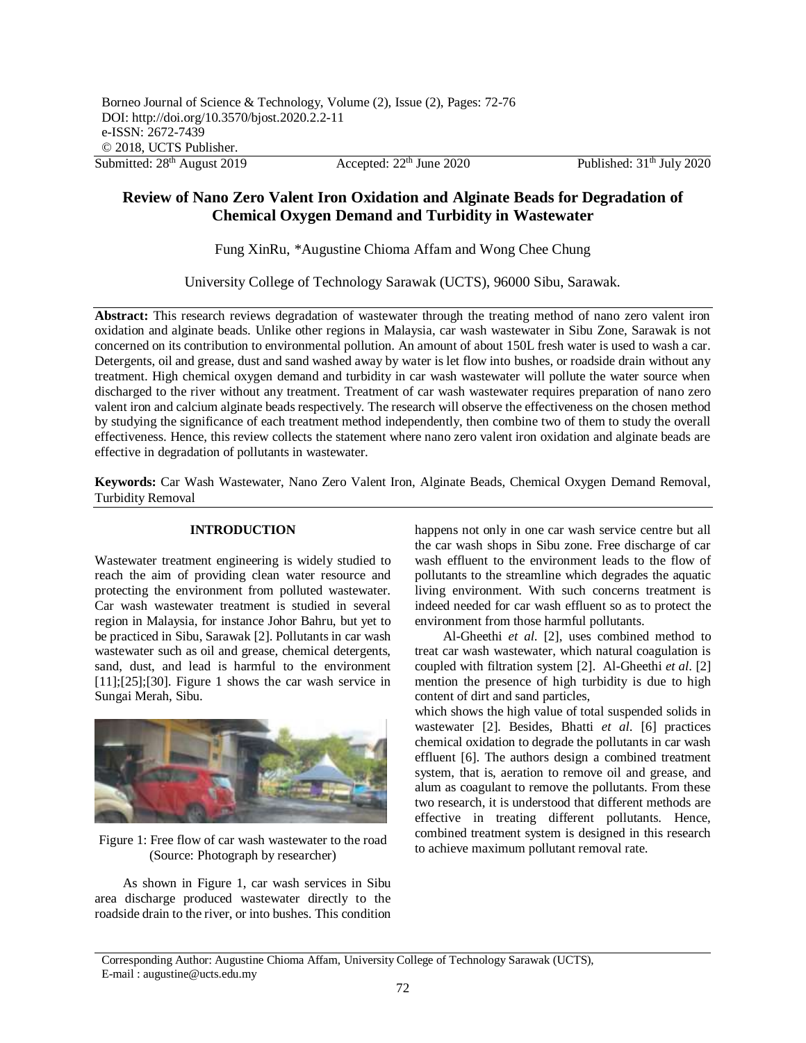# **Review of Nano Zero Valent Iron Oxidation and Alginate Beads for Degradation of Chemical Oxygen Demand and Turbidity in Wastewater**

Fung XinRu, \*Augustine Chioma Affam and Wong Chee Chung

University College of Technology Sarawak (UCTS), 96000 Sibu, Sarawak.

**Abstract:** This research reviews degradation of wastewater through the treating method of nano zero valent iron oxidation and alginate beads. Unlike other regions in Malaysia, car wash wastewater in Sibu Zone, Sarawak is not concerned on its contribution to environmental pollution. An amount of about 150L fresh water is used to wash a car. Detergents, oil and grease, dust and sand washed away by water is let flow into bushes, or roadside drain without any treatment. High chemical oxygen demand and turbidity in car wash wastewater will pollute the water source when discharged to the river without any treatment. Treatment of car wash wastewater requires preparation of nano zero valent iron and calcium alginate beads respectively. The research will observe the effectiveness on the chosen method by studying the significance of each treatment method independently, then combine two of them to study the overall effectiveness. Hence, this review collects the statement where nano zero valent iron oxidation and alginate beads are effective in degradation of pollutants in wastewater.

**Keywords:** Car Wash Wastewater, Nano Zero Valent Iron, Alginate Beads, Chemical Oxygen Demand Removal, Turbidity Removal

## **INTRODUCTION**

Wastewater treatment engineering is widely studied to reach the aim of providing clean water resource and protecting the environment from polluted wastewater. Car wash wastewater treatment is studied in several region in Malaysia, for instance Johor Bahru, but yet to be practiced in Sibu, Sarawak [2]. Pollutants in car wash wastewater such as oil and grease, chemical detergents, sand, dust, and lead is harmful to the environment  $[11]$ ; $[25]$ ; $[30]$ . Figure 1 shows the car wash service in Sungai Merah, Sibu.



Figure 1: Free flow of car wash wastewater to the road (Source: Photograph by researcher)

As shown in Figure 1, car wash services in Sibu area discharge produced wastewater directly to the roadside drain to the river, or into bushes. This condition happens not only in one car wash service centre but all the car wash shops in Sibu zone. Free discharge of car wash effluent to the environment leads to the flow of pollutants to the streamline which degrades the aquatic living environment. With such concerns treatment is indeed needed for car wash effluent so as to protect the environment from those harmful pollutants.

Al-Gheethi *et al*. [2], uses combined method to treat car wash wastewater, which natural coagulation is coupled with filtration system [2]. Al-Gheethi *et al*. [2] mention the presence of high turbidity is due to high content of dirt and sand particles,

which shows the high value of total suspended solids in wastewater [2]. Besides, Bhatti *et al*. [6] practices chemical oxidation to degrade the pollutants in car wash effluent [6]. The authors design a combined treatment system, that is, aeration to remove oil and grease, and alum as coagulant to remove the pollutants. From these two research, it is understood that different methods are effective in treating different pollutants. Hence, combined treatment system is designed in this research to achieve maximum pollutant removal rate.

Corresponding Author: Augustine Chioma Affam, University College of Technology Sarawak (UCTS), E-mail : [augustine@ucts.edu.my](mailto:augustine@ucts.edu.my)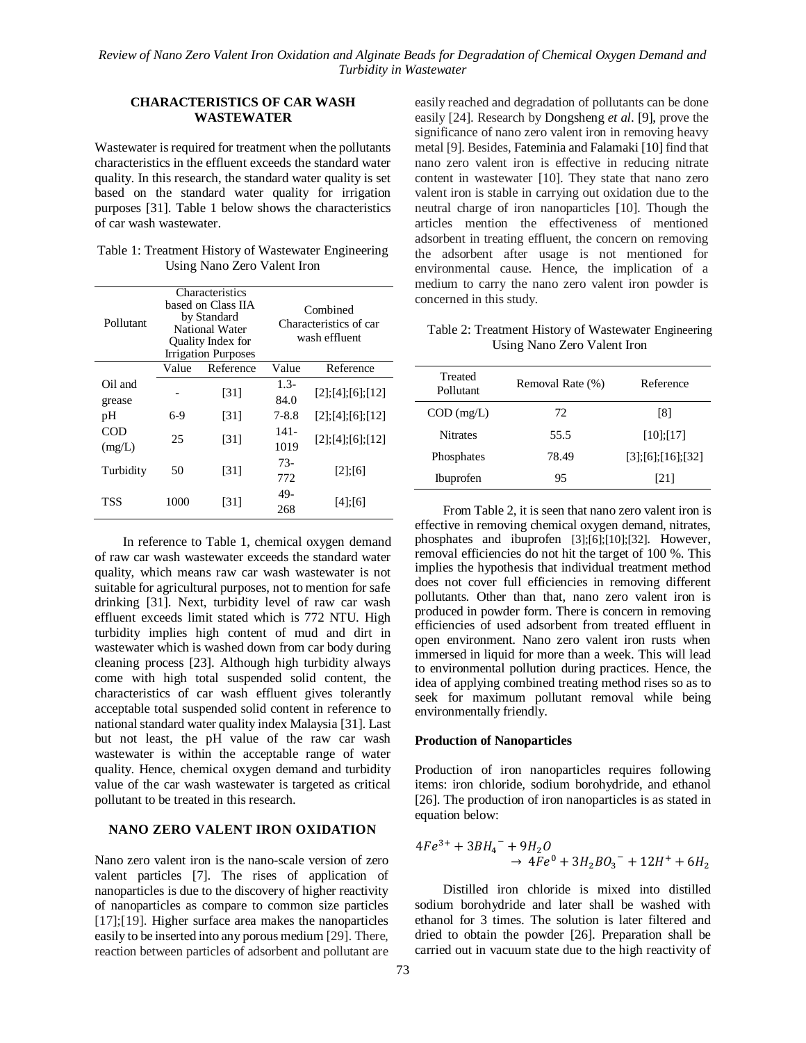## **CHARACTERISTICS OF CAR WASH WASTEWATER**

Wastewater is required for treatment when the pollutants characteristics in the effluent exceeds the standard water quality. In this research, the standard water quality is set based on the standard water quality for irrigation purposes [31]. Table 1 below shows the characteristics of car wash wastewater.

| Table 1: Treatment History of Wastewater Engineering |  |
|------------------------------------------------------|--|
| Using Nano Zero Valent Iron                          |  |

| Pollutant         |       | Characteristics<br>based on Class IIA<br>by Standard<br><b>National Water</b><br>Quality Index for<br><b>Irrigation Purposes</b> |                | Combined<br>Characteristics of car<br>wash effluent |
|-------------------|-------|----------------------------------------------------------------------------------------------------------------------------------|----------------|-----------------------------------------------------|
|                   | Value | Reference                                                                                                                        | Value          | Reference                                           |
| Oil and<br>grease |       | [31]                                                                                                                             | $1.3-$<br>84.0 | $[2]$ ; [4]; [6]; [12]                              |
| pH                | $6-9$ | [31]                                                                                                                             | $7 - 8.8$      | $[2]$ ; [4]; [6]; [12]                              |
| COD<br>(mg/L)     | 25    | [31]                                                                                                                             | $141-$<br>1019 | $[2]$ ; [4]; [6]; [12]                              |
| Turbidity         | 50    | [31]                                                                                                                             | $73-$<br>772   | $[2]$ ; $[6]$                                       |
| TSS               | 1000  | [31]                                                                                                                             | 49-<br>268     | $[4]$ ; $[6]$                                       |

In reference to Table 1, chemical oxygen demand of raw car wash wastewater exceeds the standard water quality, which means raw car wash wastewater is not suitable for agricultural purposes, not to mention for safe drinking [31]. Next, turbidity level of raw car wash effluent exceeds limit stated which is 772 NTU. High turbidity implies high content of mud and dirt in wastewater which is washed down from car body during cleaning process [23]. Although high turbidity always come with high total suspended solid content, the characteristics of car wash effluent gives tolerantly acceptable total suspended solid content in reference to national standard water quality index Malaysia [31]. Last but not least, the pH value of the raw car wash wastewater is within the acceptable range of water quality. Hence, chemical oxygen demand and turbidity value of the car wash wastewater is targeted as critical pollutant to be treated in this research.

### **NANO ZERO VALENT IRON OXIDATION**

Nano zero valent iron is the nano-scale version of zero valent particles [7]. The rises of application of nanoparticles is due to the discovery of higher reactivity of nanoparticles as compare to common size particles [17];[19]. Higher surface area makes the nanoparticles easily to be inserted into any porous medium [29]. There, reaction between particles of adsorbent and pollutant are

easily reached and degradation of pollutants can be done easily [24]. Research by Dongsheng *et al*. [9], prove the significance of nano zero valent iron in removing heavy metal [9]. Besides, Fateminia and Falamaki [10] find that nano zero valent iron is effective in reducing nitrate content in wastewater [10]. They state that nano zero valent iron is stable in carrying out oxidation due to the neutral charge of iron nanoparticles [10]. Though the articles mention the effectiveness of mentioned adsorbent in treating effluent, the concern on removing the adsorbent after usage is not mentioned for environmental cause. Hence, the implication of a medium to carry the nano zero valent iron powder is concerned in this study.

Table 2: Treatment History of Wastewater Engineering Using Nano Zero Valent Iron

| Treated<br>Pollutant | Removal Rate (%) | Reference            |
|----------------------|------------------|----------------------|
| $COD$ (mg/L)         | 72               | [8]                  |
| <b>Nitrates</b>      | 55.5             | [10]: [17]           |
| Phosphates           | 78.49            | [3]; [6]; [16]; [32] |
| <b>Ibuprofen</b>     | 95               | [21]                 |

From Table 2, it is seen that nano zero valent iron is effective in removing chemical oxygen demand, nitrates, phosphates and ibuprofen [3];[6];[10];[32]. However, removal efficiencies do not hit the target of 100 %. This implies the hypothesis that individual treatment method does not cover full efficiencies in removing different pollutants. Other than that, nano zero valent iron is produced in powder form. There is concern in removing efficiencies of used adsorbent from treated effluent in open environment. Nano zero valent iron rusts when immersed in liquid for more than a week. This will lead to environmental pollution during practices. Hence, the idea of applying combined treating method rises so as to seek for maximum pollutant removal while being environmentally friendly.

### **Production of Nanoparticles**

Production of iron nanoparticles requires following items: iron chloride, sodium borohydride, and ethanol [26]. The production of iron nanoparticles is as stated in equation below:

$$
4Fe^{3+} + 3BH_4^- + 9H_2O
$$
  
\n
$$
\rightarrow 4Fe^0 + 3H_2BO_3^- + 12H^+ + 6H_2
$$

Distilled iron chloride is mixed into distilled sodium borohydride and later shall be washed with ethanol for 3 times. The solution is later filtered and dried to obtain the powder [26]. Preparation shall be carried out in vacuum state due to the high reactivity of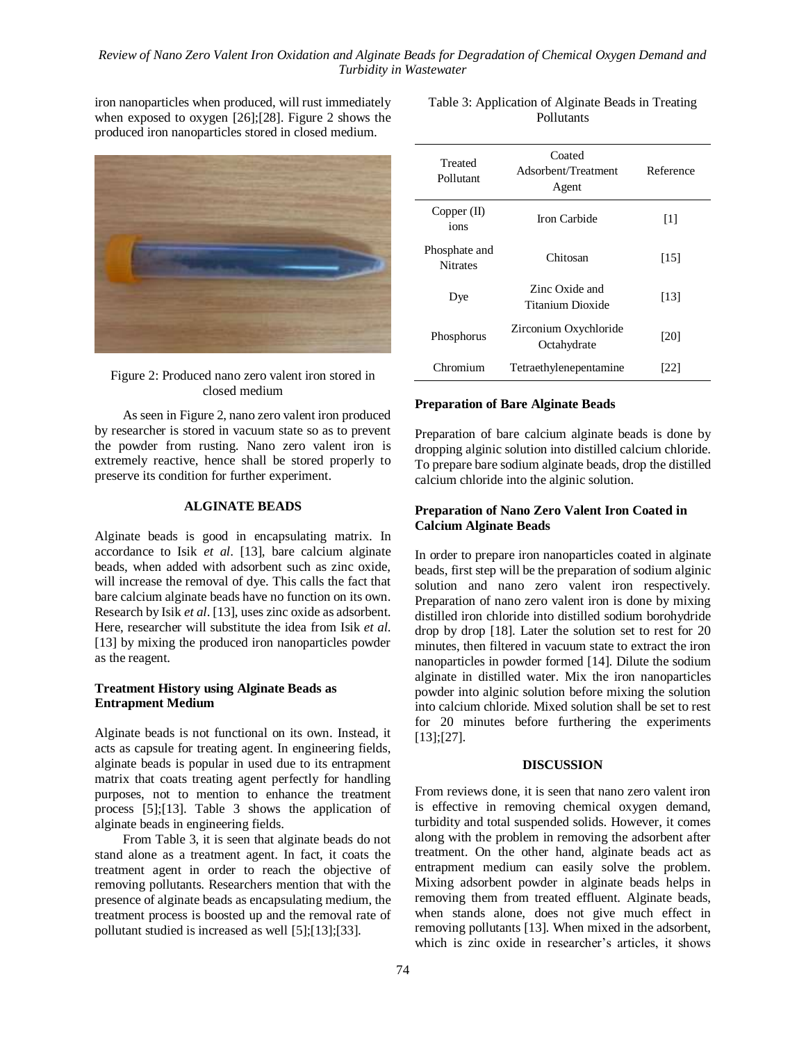## *Review of Nano Zero Valent Iron Oxidation and Alginate Beads for Degradation of Chemical Oxygen Demand and Turbidity in Wastewater*

iron nanoparticles when produced, will rust immediately when exposed to oxygen [26];[28]. Figure 2 shows the produced iron nanoparticles stored in closed medium.



Figure 2: Produced nano zero valent iron stored in closed medium

As seen in Figure 2, nano zero valent iron produced by researcher is stored in vacuum state so as to prevent the powder from rusting. Nano zero valent iron is extremely reactive, hence shall be stored properly to preserve its condition for further experiment.

## **ALGINATE BEADS**

Alginate beads is good in encapsulating matrix. In accordance to Isik *et al*. [13], bare calcium alginate beads, when added with adsorbent such as zinc oxide, will increase the removal of dye. This calls the fact that bare calcium alginate beads have no function on its own. Research by Isik *et al*. [13], uses zinc oxide as adsorbent. Here, researcher will substitute the idea from Isik *et al*. [13] by mixing the produced iron nanoparticles powder as the reagent.

## **Treatment History using Alginate Beads as Entrapment Medium**

Alginate beads is not functional on its own. Instead, it acts as capsule for treating agent. In engineering fields, alginate beads is popular in used due to its entrapment matrix that coats treating agent perfectly for handling purposes, not to mention to enhance the treatment process [5];[13]. Table 3 shows the application of alginate beads in engineering fields.

From Table 3, it is seen that alginate beads do not stand alone as a treatment agent. In fact, it coats the treatment agent in order to reach the objective of removing pollutants. Researchers mention that with the presence of alginate beads as encapsulating medium, the treatment process is boosted up and the removal rate of pollutant studied is increased as well [5];[13];[33].

| Table 3: Application of Alginate Beads in Treating |  |
|----------------------------------------------------|--|
| Pollutants                                         |  |

| Treated<br>Pollutant             | Coated<br>Adsorbent/Treatment<br>Agent | Reference         |
|----------------------------------|----------------------------------------|-------------------|
| Copper (II)<br>ions              | Iron Carbide                           | $\lceil 1 \rceil$ |
| Phosphate and<br><b>Nitrates</b> | Chitosan                               | [15]              |
| Dye                              | Zinc Oxide and<br>Titanium Dioxide     | [13]              |
| Phosphorus                       | Zirconium Oxychloride<br>Octahydrate   | [20]              |
| Chromium                         | Tetraethylenepentamine                 | 1221              |

### **Preparation of Bare Alginate Beads**

Preparation of bare calcium alginate beads is done by dropping alginic solution into distilled calcium chloride. To prepare bare sodium alginate beads, drop the distilled calcium chloride into the alginic solution.

## **Preparation of Nano Zero Valent Iron Coated in Calcium Alginate Beads**

In order to prepare iron nanoparticles coated in alginate beads, first step will be the preparation of sodium alginic solution and nano zero valent iron respectively. Preparation of nano zero valent iron is done by mixing distilled iron chloride into distilled sodium borohydride drop by drop [18]. Later the solution set to rest for 20 minutes, then filtered in vacuum state to extract the iron nanoparticles in powder formed [14]. Dilute the sodium alginate in distilled water. Mix the iron nanoparticles powder into alginic solution before mixing the solution into calcium chloride. Mixed solution shall be set to rest for 20 minutes before furthering the experiments [13];[27].

### **DISCUSSION**

From reviews done, it is seen that nano zero valent iron is effective in removing chemical oxygen demand, turbidity and total suspended solids. However, it comes along with the problem in removing the adsorbent after treatment. On the other hand, alginate beads act as entrapment medium can easily solve the problem. Mixing adsorbent powder in alginate beads helps in removing them from treated effluent. Alginate beads, when stands alone, does not give much effect in removing pollutants [13]. When mixed in the adsorbent, which is zinc oxide in researcher's articles, it shows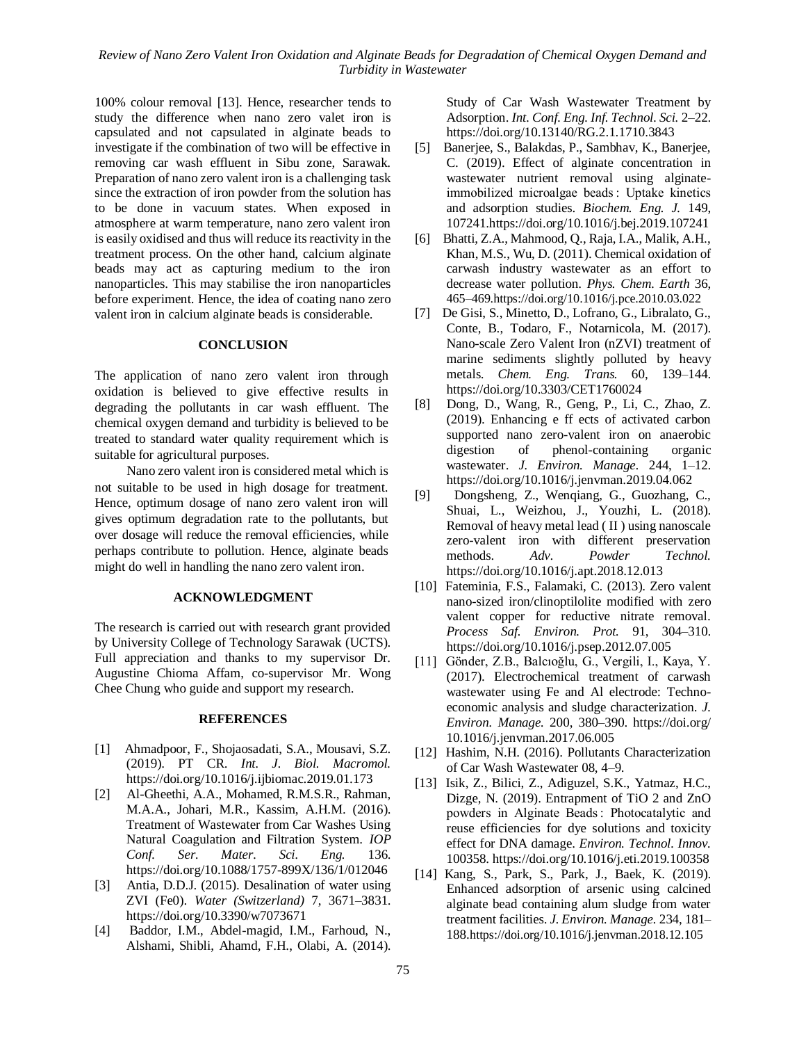100% colour removal [13]. Hence, researcher tends to study the difference when nano zero valet iron is capsulated and not capsulated in alginate beads to investigate if the combination of two will be effective in removing car wash effluent in Sibu zone, Sarawak. Preparation of nano zero valent iron is a challenging task since the extraction of iron powder from the solution has to be done in vacuum states. When exposed in atmosphere at warm temperature, nano zero valent iron is easily oxidised and thus will reduce its reactivity in the treatment process. On the other hand, calcium alginate beads may act as capturing medium to the iron nanoparticles. This may stabilise the iron nanoparticles before experiment. Hence, the idea of coating nano zero valent iron in calcium alginate beads is considerable.

## **CONCLUSION**

The application of nano zero valent iron through oxidation is believed to give effective results in degrading the pollutants in car wash effluent. The chemical oxygen demand and turbidity is believed to be treated to standard water quality requirement which is suitable for agricultural purposes.

Nano zero valent iron is considered metal which is not suitable to be used in high dosage for treatment. Hence, optimum dosage of nano zero valent iron will gives optimum degradation rate to the pollutants, but over dosage will reduce the removal efficiencies, while perhaps contribute to pollution. Hence, alginate beads might do well in handling the nano zero valent iron.

### **ACKNOWLEDGMENT**

The research is carried out with research grant provided by University College of Technology Sarawak (UCTS). Full appreciation and thanks to my supervisor Dr. Augustine Chioma Affam, co-supervisor Mr. Wong Chee Chung who guide and support my research.

### **REFERENCES**

- [1] Ahmadpoor, F., Shojaosadati, S.A., Mousavi, S.Z. (2019). PT CR. *Int. J. Biol. Macromol.* https://doi.org/10.1016/j.ijbiomac.2019.01.173
- [2] Al-Gheethi, A.A., Mohamed, R.M.S.R., Rahman, M.A.A., Johari, M.R., Kassim, A.H.M. (2016). Treatment of Wastewater from Car Washes Using Natural Coagulation and Filtration System. *IOP Conf. Ser. Mater. Sci. Eng.* 136. https://doi.org/10.1088/1757-899X/136/1/012046
- [3] Antia, D.D.J. (2015). Desalination of water using ZVI (Fe0). *Water (Switzerland)* 7, 3671–3831. https://doi.org/10.3390/w7073671
- [4] Baddor, I.M., Abdel-magid, I.M., Farhoud, N., Alshami, Shibli, Ahamd, F.H., Olabi, A. (2014).

Study of Car Wash Wastewater Treatment by Adsorption. *Int. Conf. Eng. Inf. Technol. Sci.* 2–22. https://doi.org/10.13140/RG.2.1.1710.3843

- [5] Banerjee, S., Balakdas, P., Sambhav, K., Banerjee, C. (2019). Effect of alginate concentration in wastewater nutrient removal using alginateimmobilized microalgae beads : Uptake kinetics and adsorption studies. *Biochem. Eng. J.* 149, 107241.https://doi.org/10.1016/j.bej.2019.107241
- [6] Bhatti, Z.A., Mahmood, Q., Raja, I.A., Malik, A.H., Khan, M.S., Wu, D. (2011). Chemical oxidation of carwash industry wastewater as an effort to decrease water pollution. *Phys. Chem. Earth* 36, 465–469.https://doi.org/10.1016/j.pce.2010.03.022
- [7] De Gisi, S., Minetto, D., Lofrano, G., Libralato, G., Conte, B., Todaro, F., Notarnicola, M. (2017). Nano-scale Zero Valent Iron (nZVI) treatment of marine sediments slightly polluted by heavy metals. *Chem. Eng. Trans.* 60, 139–144. https://doi.org/10.3303/CET1760024
- [8] Dong, D., Wang, R., Geng, P., Li, C., Zhao, Z. (2019). Enhancing e ff ects of activated carbon supported nano zero-valent iron on anaerobic digestion of phenol-containing organic wastewater. *J. Environ. Manage.* 244, 1–12. https://doi.org/10.1016/j.jenvman.2019.04.062
- [9] Dongsheng, Z., Wenqiang, G., Guozhang, C., Shuai, L., Weizhou, J., Youzhi, L. (2018). Removal of heavy metal lead ( II ) using nanoscale zero-valent iron with different preservation methods. *Adv. Powder Technol.* https://doi.org/10.1016/j.apt.2018.12.013
- [10] Fateminia, F.S., Falamaki, C. (2013). Zero valent nano-sized iron/clinoptilolite modified with zero valent copper for reductive nitrate removal. *Process Saf. Environ. Prot.* 91, 304–310. https://doi.org/10.1016/j.psep.2012.07.005
- [11] Gönder, Z.B., Balcıoğlu, G., Vergili, I., Kaya, Y. (2017). Electrochemical treatment of carwash wastewater using Fe and Al electrode: Technoeconomic analysis and sludge characterization. *J. Environ. Manage.* 200, 380–390. https://doi.org/ 10.1016/j.jenvman.2017.06.005
- [12] Hashim, N.H. (2016). Pollutants Characterization of Car Wash Wastewater 08, 4–9.
- [13] Isik, Z., Bilici, Z., Adiguzel, S.K., Yatmaz, H.C., Dizge, N. (2019). Entrapment of TiO 2 and ZnO powders in Alginate Beads : Photocatalytic and reuse efficiencies for dye solutions and toxicity effect for DNA damage. *Environ. Technol. Innov.* 100358. https://doi.org/10.1016/j.eti.2019.100358
- [14] Kang, S., Park, S., Park, J., Baek, K. (2019). Enhanced adsorption of arsenic using calcined alginate bead containing alum sludge from water treatment facilities. *J. Environ. Manage.* 234, 181– 188.https://doi.org/10.1016/j.jenvman.2018.12.105